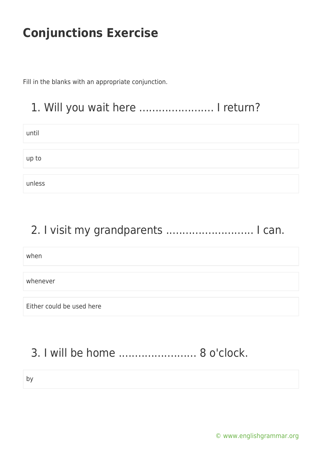Fill in the blanks with an appropriate conjunction.

### 1. Will you wait here ....................... I return?

| until  |  |
|--------|--|
|        |  |
| up to  |  |
|        |  |
| unless |  |

### 2. I visit my grandparents ........................... I can.

when

whenever

Either could be used here

## 3. I will be home ........................ 8 o'clock.

by

[© www.englishgrammar.org](https://www.englishgrammar.org/)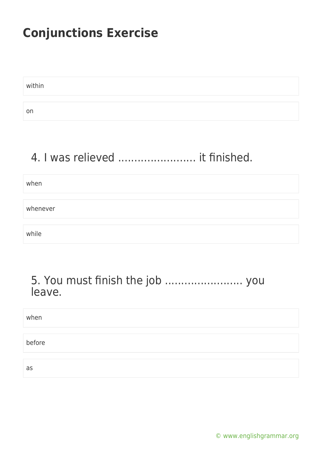within on

### 4. I was relieved ............................ it finished.

when whenever while

#### 5. You must finish the job ........................ you leave.

| when   |  |  |  |
|--------|--|--|--|
| before |  |  |  |
| as     |  |  |  |

[© www.englishgrammar.org](https://www.englishgrammar.org/)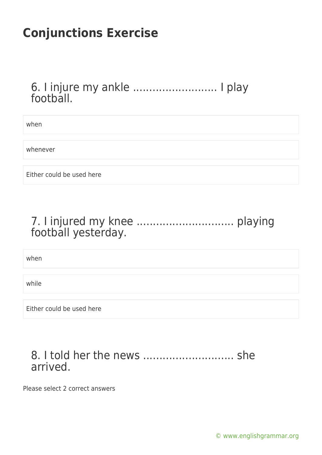#### 6. I injure my ankle .......................... I play football.

when

whenever

Either could be used here

### 7. I injured my knee .............................. playing football yesterday.

when

while

Either could be used here

#### 8. I told her the news ............................ she arrived.

Please select 2 correct answers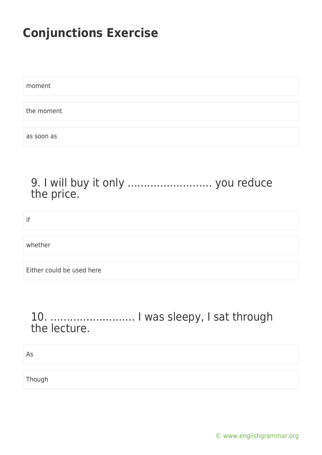moment the moment as soon as

### 9. I will buy it only .......................... you reduce the price.

if

whether

Either could be used here

### 10. .......................... I was sleepy, I sat through the lecture.

As

Though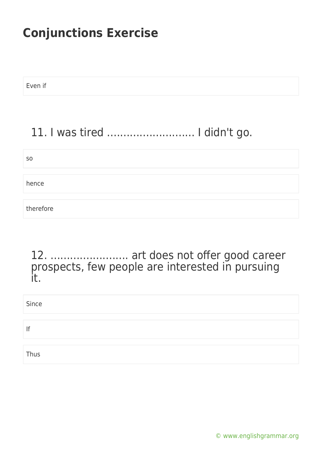Even if

## 11. I was tired ........................... I didn't go.

| S <sub>0</sub> |  |  |
|----------------|--|--|
| hence          |  |  |
| therefore      |  |  |

#### 12. ........................ art does not offer good career prospects, few people are interested in pursuing it.

| Since |  |
|-------|--|
|       |  |
| If    |  |
|       |  |
| Thus  |  |

[© www.englishgrammar.org](https://www.englishgrammar.org/)